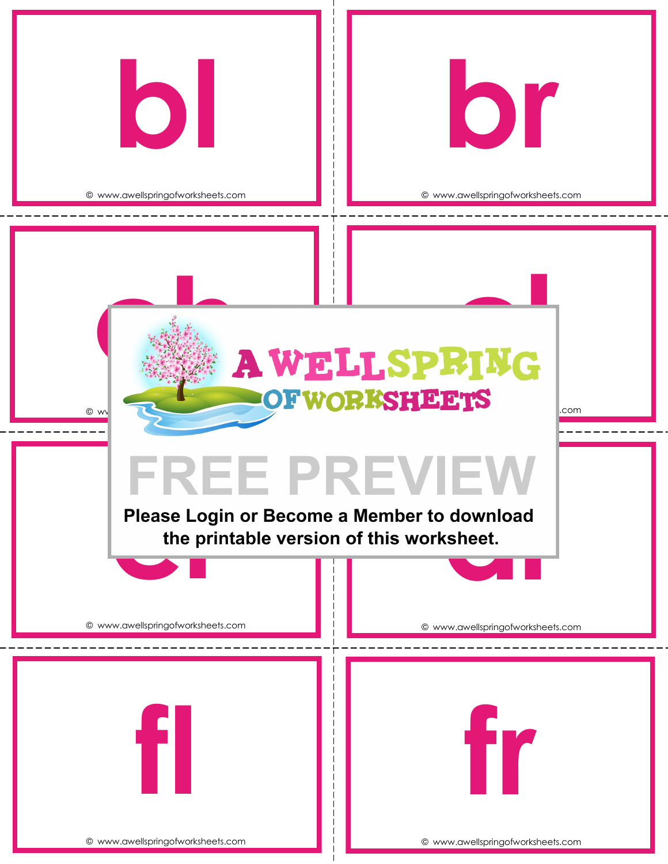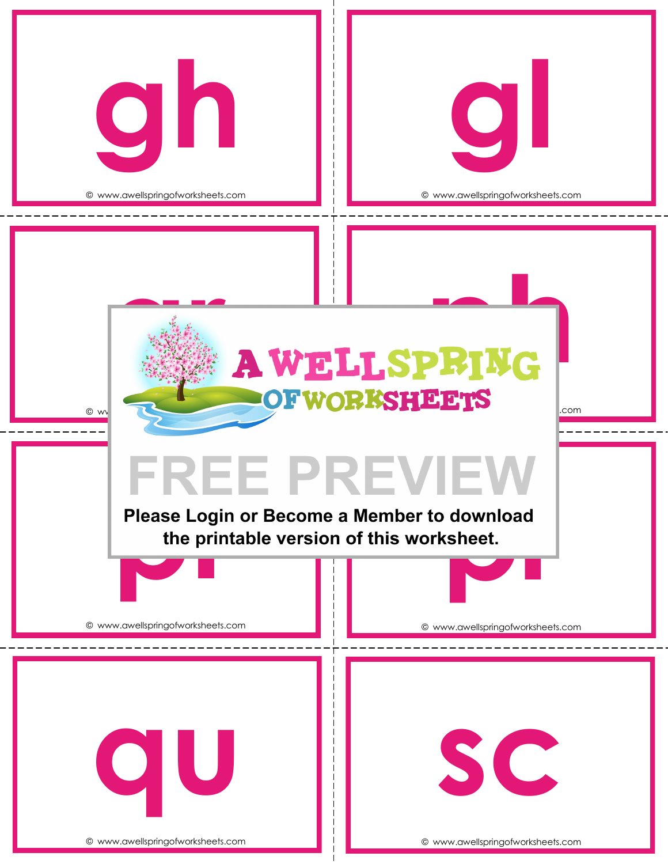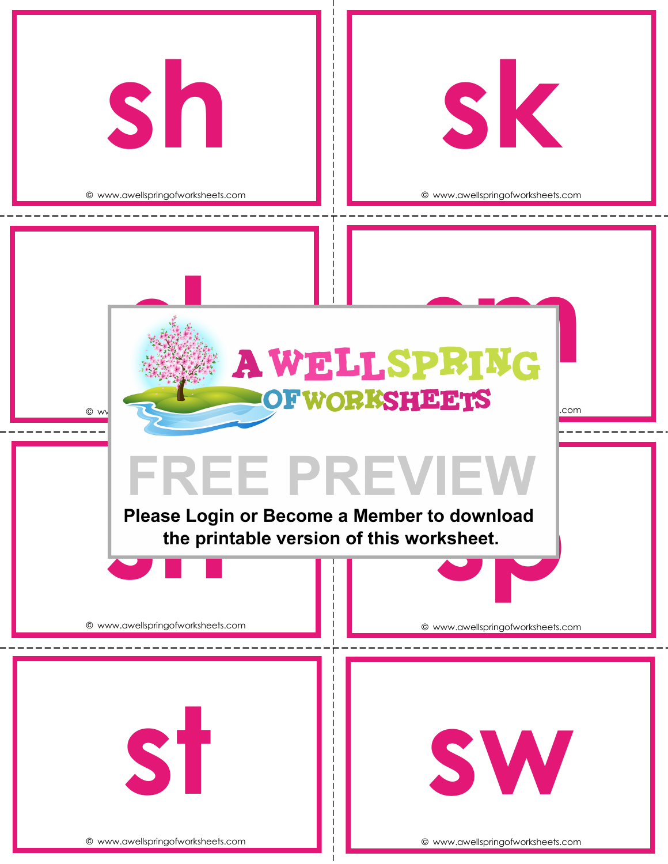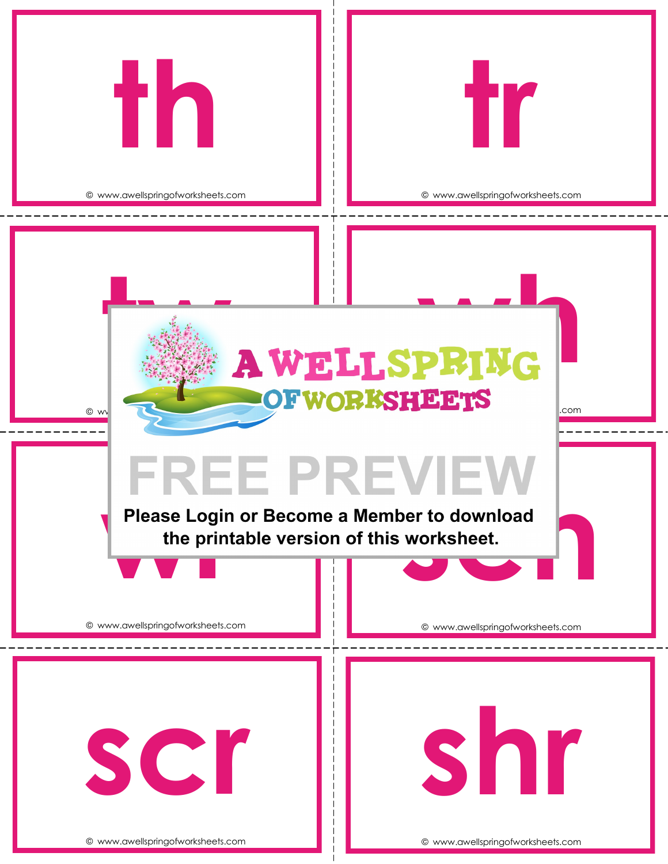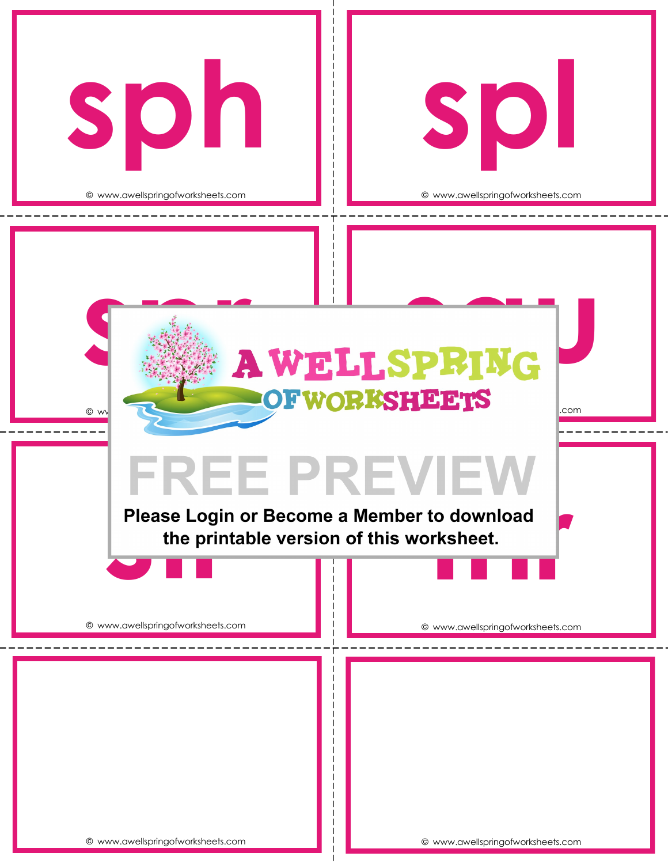